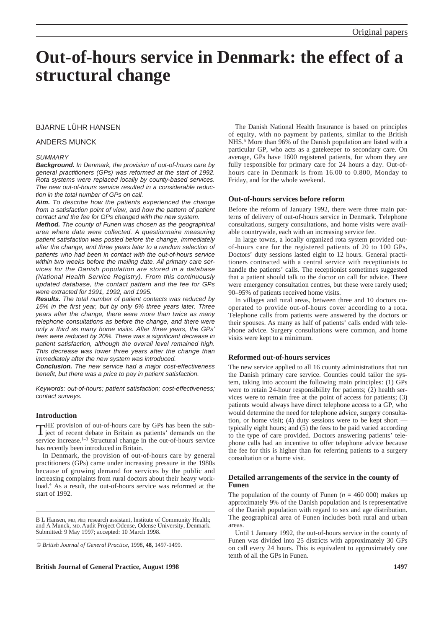# **Out-of-hours service in Denmark: the effect of a structural change**

## BJARNE LÜHR HANSEN

#### ANDERS MUNCK

#### *SUMMARY*

*Background. In Denmark, the provision of out-of-hours care by general practitioners (GPs) was reformed at the start of 1992. Rota systems were replaced locally by county-based services. The new out-of-hours service resulted in a considerable reduction in the total number of GPs on call.*

*Aim. To describe how the patients experienced the change from a satisfaction point of view, and how the pattern of patient contact and the fee for GPs changed with the new system.*

*Method. The county of Funen was chosen as the geographical area where data were collected. A questionnaire measuring patient satisfaction was posted before the change, immediately after the change, and three years later to a random selection of patients who had been in contact with the out-of-hours service within two weeks before the mailing date. All primary care services for the Danish population are stored in a database (National Health Service Registry). From this continuously updated database, the contact pattern and the fee for GPs were extracted for 1991, 1992, and 1995.*

*Results. The total number of patient contacts was reduced by 16% in the first year, but by only 6% three years later. Three years after the change, there were more than twice as many telephone consultations as before the change, and there were only a third as many home visits. After three years, the GPs' fees were reduced by 20%. There was a significant decrease in patient satisfaction, although the overall level remained high. This decrease was lower three years after the change than immediately after the new system was introduced.*

*Conclusion. The new service had a major cost-effectiveness benefit, but there was a price to pay in patient satisfaction.*

*Keywords: out-of-hours; patient satisfaction; cost-effectiveness; contact surveys.*

## **Introduction**

THE provision of out-of-hours care by GPs has been the sub- $\bf{l}$  ject of recent debate in Britain as patients' demands on the service increase.1–3 Structural change in the out-of-hours service has recently been introduced in Britain.

In Denmark, the provision of out-of-hours care by general practitioners (GPs) came under increasing pressure in the 1980s because of growing demand for services by the public and increasing complaints from rural doctors about their heavy workload.4 As a result, the out-of-hours service was reformed at the start of 1992.

B L Hansen, MD, PhD, research assistant, Institute of Community Health; and A Munck, MD, Audit Project Odense, Odense University, Denmark. Submitted: 9 May 1997; accepted: 10 March 1998.

© *British Journal of General Practice,* 1998, **48,** 1497-1499.

**British Journal of General Practice, August 1998 1497**

The Danish National Health Insurance is based on principles of equity, with no payment by patients, similar to the British NHS.5 More than 96% of the Danish population are listed with a particular GP, who acts as a gatekeeper to secondary care. On average, GPs have 1600 registered patients, for whom they are fully responsible for primary care for 24 hours a day. Out-ofhours care in Denmark is from 16.00 to 0.800, Monday to Friday, and for the whole weekend.

#### **Out-of-hours services before reform**

Before the reform of January 1992, there were three main patterns of delivery of out-of-hours service in Denmark. Telephone consultations, surgery consultations, and home visits were available countrywide, each with an increasing service fee.

In large towns, a locally organized rota system provided outof-hours care for the registered patients of 20 to 100 GPs. Doctors' duty sessions lasted eight to 12 hours. General practitioners contracted with a central service with receptionists to handle the patients' calls. The receptionist sometimes suggested that a patient should talk to the doctor on call for advice. There were emergency consultation centres, but these were rarely used; 90–95% of patients received home visits.

In villages and rural areas, between three and 10 doctors cooperated to provide out-of-hours cover according to a rota. Telephone calls from patients were answered by the doctors or their spouses. As many as half of patients' calls ended with telephone advice. Surgery consultations were common, and home visits were kept to a minimum.

#### **Reformed out-of-hours services**

The new service applied to all 16 county administrations that run the Danish primary care service. Counties could tailor the system, taking into account the following main principles: (1) GPs were to retain 24-hour responsibility for patients; (2) health services were to remain free at the point of access for patients; (3) patients would always have direct telephone access to a GP, who would determine the need for telephone advice, surgery consultation, or home visit; (4) duty sessions were to be kept short typically eight hours; and (5) the fees to be paid varied according to the type of care provided. Doctors answering patients' telephone calls had an incentive to offer telephone advice because the fee for this is higher than for referring patients to a surgery consultation or a home visit.

### **Detailed arrangements of the service in the county of Funen**

The population of the county of Funen  $(n = 460,000)$  makes up approximately 9% of the Danish population and is representative of the Danish population with regard to sex and age distribution. The geographical area of Funen includes both rural and urban areas.

Until 1 January 1992, the out-of-hours service in the county of Funen was divided into 25 districts with approximately 30 GPs on call every 24 hours. This is equivalent to approximately one tenth of all the GPs in Funen.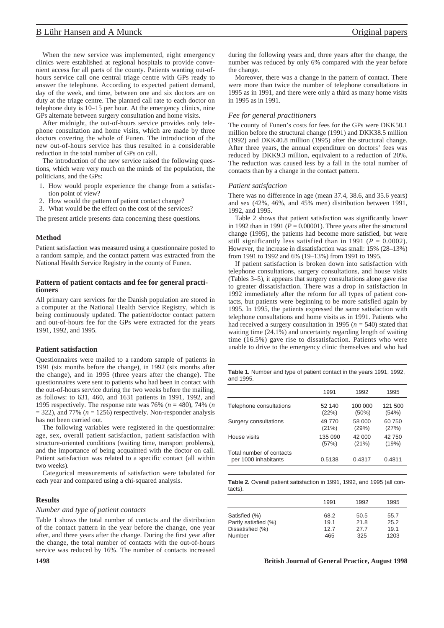## B Lühr Hansen and A Munck **Original papers Original papers**

When the new service was implemented, eight emergency clinics were established at regional hospitals to provide convenient access for all parts of the county. Patients wanting out-ofhours service call one central triage centre with GPs ready to answer the telephone. According to expected patient demand, day of the week, and time, between one and six doctors are on duty at the triage centre. The planned call rate to each doctor on telephone duty is 10–15 per hour. At the emergency clinics, nine GPs alternate between surgery consultation and home visits.

After midnight, the out-of-hours service provides only telephone consultation and home visits, which are made by three doctors covering the whole of Funen. The introduction of the new out-of-hours service has thus resulted in a considerable reduction in the total number of GPs on call.

The introduction of the new service raised the following questions, which were very much on the minds of the population, the politicians, and the GPs:

- 1. How would people experience the change from a satisfaction point of view?
- 2. How would the pattern of patient contact change?
- 3. What would be the effect on the cost of the services?

The present article presents data concerning these questions.

#### **Method**

Patient satisfaction was measured using a questionnaire posted to a random sample, and the contact pattern was extracted from the National Health Service Registry in the county of Funen.

## **Pattern of patient contacts and fee for general practitioners**

All primary care services for the Danish population are stored in a computer at the National Health Service Registry, which is being continuously updated. The patient/doctor contact pattern and out-of-hours fee for the GPs were extracted for the years 1991, 1992, and 1995.

#### **Patient satisfaction**

Questionnaires were mailed to a random sample of patients in 1991 (six months before the change), in 1992 (six months after the change), and in 1995 (three years after the change). The questionnaires were sent to patients who had been in contact with the out-of-hours service during the two weeks before the mailing, as follows: to 631, 460, and 1631 patients in 1991, 1992, and 1995 respectively. The response rate was 76% (*n* = 480), 74% (*n*  $= 322$ ), and 77% ( $n = 1256$ ) respectively. Non-responder analysis has not been carried out.

The following variables were registered in the questionnaire: age, sex, overall patient satisfaction, patient satisfaction with structure-oriented conditions (waiting time, transport problems), and the importance of being acquainted with the doctor on call. Patient satisfaction was related to a specific contact (all within two weeks).

Categorical measurements of satisfaction were tabulated for each year and compared using a chi-squared analysis.

## **Results**

#### *Number and type of patient contacts*

Table 1 shows the total number of contacts and the distribution of the contact pattern in the year before the change, one year after, and three years after the change. During the first year after the change, the total number of contacts with the out-of-hours service was reduced by 16%. The number of contacts increased

during the following years and, three years after the change, the number was reduced by only 6% compared with the year before the change.

Moreover, there was a change in the pattern of contact. There were more than twice the number of telephone consultations in 1995 as in 1991, and there were only a third as many home visits in 1995 as in 1991.

#### *Fee for general practitioners*

The county of Funen's costs for fees for the GPs were DKK50.1 million before the structural change (1991) and DKK38.5 million (1992) and DKK40.8 million (1995) after the structural change. After three years, the annual expenditure on doctors' fees was reduced by DKK9.3 million, equivalent to a reduction of 20%. The reduction was caused less by a fall in the total number of contacts than by a change in the contact pattern.

#### *Patient satisfaction*

There was no difference in age (mean 37.4, 38.6, and 35.6 years) and sex (42%, 46%, and 45% men) distribution between 1991, 1992, and 1995.

Table 2 shows that patient satisfaction was significantly lower in 1992 than in 1991 ( $P = 0.00001$ ). Three years after the structural change (1995), the patients had become more satisfied, but were still significantly less satisfied than in 1991 ( $P = 0.0002$ ). However, the increase in dissatisfaction was small: 15% (28–13%) from 1991 to 1992 and 6% (19–13%) from 1991 to 1995.

If patient satisfaction is broken down into satisfaction with telephone consultations, surgery consultations, and house visits (Tables 3–5), it appears that surgery consultations alone gave rise to greater dissatisfaction. There was a drop in satisfaction in 1992 immediately after the reform for all types of patient contacts, but patients were beginning to be more satisfied again by 1995. In 1995, the patients expressed the same satisfaction with telephone consultations and home visits as in 1991. Patients who had received a surgery consultation in 1995 ( $n = 540$ ) stated that waiting time (24.1%) and uncertainty regarding length of waiting time (16.5%) gave rise to dissatisfaction. Patients who were unable to drive to the emergency clinic themselves and who had

**Table 1.** Number and type of patient contact in the years 1991, 1992, and 1995.

|                                                  | 1991    | 1992     | 1995    |
|--------------------------------------------------|---------|----------|---------|
| Telephone consultations                          | 52 140  | 100 000  | 121 500 |
|                                                  | (22%)   | $(50\%)$ | (54%)   |
| Surgery consultations                            | 49 770  | 58 000   | 60 750  |
|                                                  | (21%)   | (29%)    | (27%)   |
| House visits                                     | 135 090 | 42 000   | 42 750  |
|                                                  | (57%)   | (21%)    | (19%)   |
| Total number of contacts<br>per 1000 inhabitants | 0.5138  | 0.4317   | 0.4811  |

**Table 2.** Overall patient satisfaction in 1991, 1992, and 1995 (all contacts).

|                                                                     | 1991                        | 1992                        | 1995                         |
|---------------------------------------------------------------------|-----------------------------|-----------------------------|------------------------------|
| Satisfied (%)<br>Partly satisfied (%)<br>Dissatisfied (%)<br>Number | 68.2<br>19.1<br>12.7<br>465 | 50.5<br>21.8<br>27.7<br>325 | 55.7<br>25.2<br>19.1<br>1203 |

#### **1498 British Journal of General Practice, August 1998**